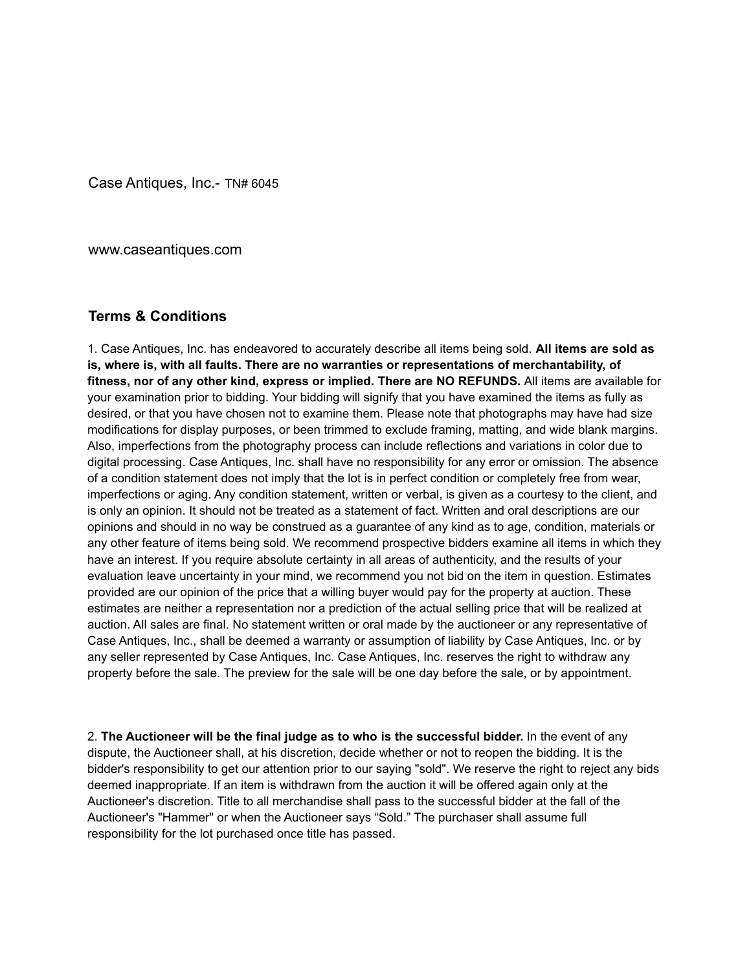Case Antiques, Inc.- TN# 6045

www.caseantiques.com

## **Terms & Conditions**

1. Case Antiques, Inc. has endeavored to accurately describe all items being sold. **All items are sold as is, where is, with all faults. There are no warranties or representations of merchantability, of fitness, nor of any other kind, express or implied. There are NO REFUNDS.** All items are available for your examination prior to bidding. Your bidding will signify that you have examined the items as fully as desired, or that you have chosen not to examine them. Please note that photographs may have had size modifications for display purposes, or been trimmed to exclude framing, matting, and wide blank margins. Also, imperfections from the photography process can include reflections and variations in color due to digital processing. Case Antiques, Inc. shall have no responsibility for any error or omission. The absence of a condition statement does not imply that the lot is in perfect condition or completely free from wear, imperfections or aging. Any condition statement, written or verbal, is given as a courtesy to the client, and is only an opinion. It should not be treated as a statement of fact. Written and oral descriptions are our opinions and should in no way be construed as a guarantee of any kind as to age, condition, materials or any other feature of items being sold. We recommend prospective bidders examine all items in which they have an interest. If you require absolute certainty in all areas of authenticity, and the results of your evaluation leave uncertainty in your mind, we recommend you not bid on the item in question. Estimates provided are our opinion of the price that a willing buyer would pay for the property at auction. These estimates are neither a representation nor a prediction of the actual selling price that will be realized at auction. All sales are final. No statement written or oral made by the auctioneer or any representative of Case Antiques, Inc., shall be deemed a warranty or assumption of liability by Case Antiques, Inc. or by any seller represented by Case Antiques, Inc. Case Antiques, Inc. reserves the right to withdraw any property before the sale. The preview for the sale will be one day before the sale, or by appointment.

2. **The Auctioneer will be the final judge as to who is the successful bidder.** In the event of any dispute, the Auctioneer shall, at his discretion, decide whether or not to reopen the bidding. It is the bidder's responsibility to get our attention prior to our saying "sold". We reserve the right to reject any bids deemed inappropriate. If an item is withdrawn from the auction it will be offered again only at the Auctioneer's discretion. Title to all merchandise shall pass to the successful bidder at the fall of the Auctioneer's "Hammer" or when the Auctioneer says "Sold." The purchaser shall assume full responsibility for the lot purchased once title has passed.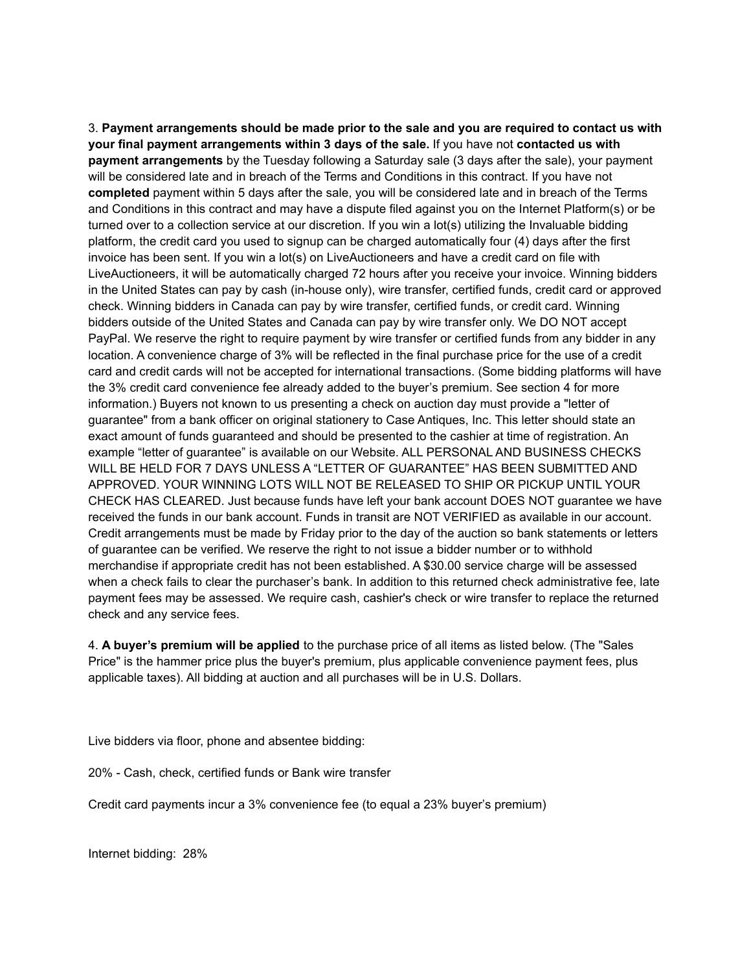3. **Payment arrangements should be made prior to the sale and you are required to contact us with your final payment arrangements within 3 days of the sale.** If you have not **contacted us with payment arrangements** by the Tuesday following a Saturday sale (3 days after the sale), your payment will be considered late and in breach of the Terms and Conditions in this contract. If you have not **completed** payment within 5 days after the sale, you will be considered late and in breach of the Terms and Conditions in this contract and may have a dispute filed against you on the Internet Platform(s) or be turned over to a collection service at our discretion. If you win a lot(s) utilizing the Invaluable bidding platform, the credit card you used to signup can be charged automatically four (4) days after the first invoice has been sent. If you win a lot(s) on LiveAuctioneers and have a credit card on file with LiveAuctioneers, it will be automatically charged 72 hours after you receive your invoice. Winning bidders in the United States can pay by cash (in-house only), wire transfer, certified funds, credit card or approved check. Winning bidders in Canada can pay by wire transfer, certified funds, or credit card. Winning bidders outside of the United States and Canada can pay by wire transfer only. We DO NOT accept PayPal. We reserve the right to require payment by wire transfer or certified funds from any bidder in any location. A convenience charge of 3% will be reflected in the final purchase price for the use of a credit card and credit cards will not be accepted for international transactions. (Some bidding platforms will have the 3% credit card convenience fee already added to the buyer's premium. See section 4 for more information.) Buyers not known to us presenting a check on auction day must provide a "letter of guarantee" from a bank officer on original stationery to Case Antiques, Inc. This letter should state an exact amount of funds guaranteed and should be presented to the cashier at time of registration. An example "letter of guarantee" is available on our Website. ALL PERSONAL AND BUSINESS CHECKS WILL BE HELD FOR 7 DAYS UNLESS A "LETTER OF GUARANTEE" HAS BEEN SUBMITTED AND APPROVED. YOUR WINNING LOTS WILL NOT BE RELEASED TO SHIP OR PICKUP UNTIL YOUR CHECK HAS CLEARED. Just because funds have left your bank account DOES NOT guarantee we have received the funds in our bank account. Funds in transit are NOT VERIFIED as available in our account. Credit arrangements must be made by Friday prior to the day of the auction so bank statements or letters of guarantee can be verified. We reserve the right to not issue a bidder number or to withhold merchandise if appropriate credit has not been established. A \$30.00 service charge will be assessed when a check fails to clear the purchaser's bank. In addition to this returned check administrative fee, late payment fees may be assessed. We require cash, cashier's check or wire transfer to replace the returned check and any service fees.

4. **A buyer's premium will be applied** to the purchase price of all items as listed below. (The "Sales Price" is the hammer price plus the buyer's premium, plus applicable convenience payment fees, plus applicable taxes). All bidding at auction and all purchases will be in U.S. Dollars.

Live bidders via floor, phone and absentee bidding:

20% - Cash, check, certified funds or Bank wire transfer

Credit card payments incur a 3% convenience fee (to equal a 23% buyer's premium)

Internet bidding: 28%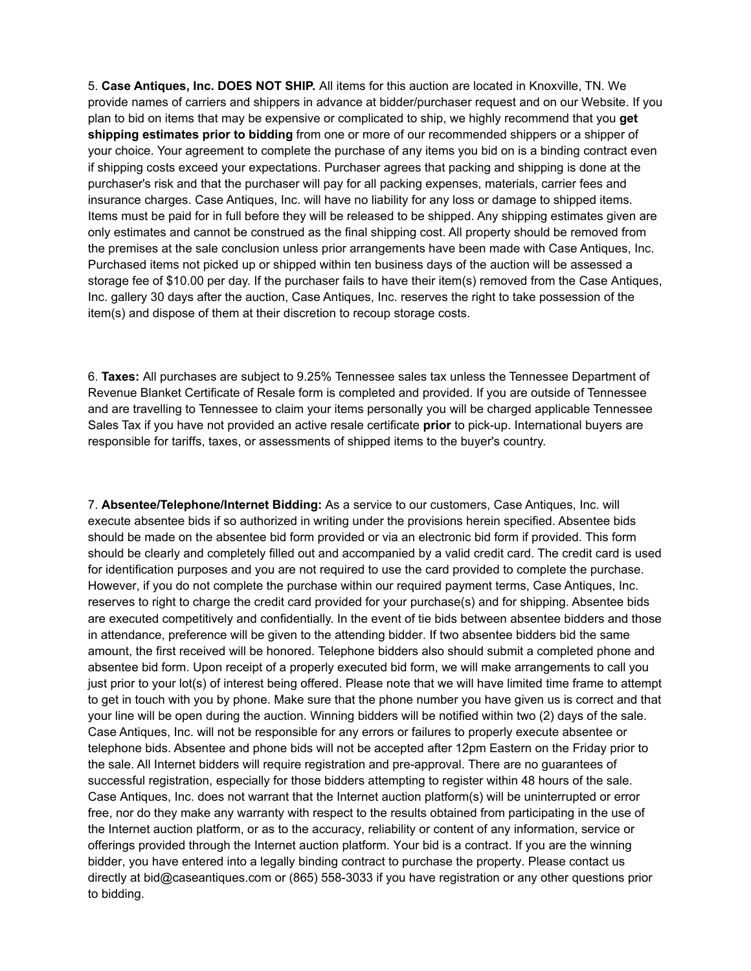5. **Case Antiques, Inc. DOES NOT SHIP.** All items for this auction are located in Knoxville, TN. We provide names of carriers and shippers in advance at bidder/purchaser request and on our Website. If you plan to bid on items that may be expensive or complicated to ship, we highly recommend that you **get shipping estimates prior to bidding** from one or more of our recommended shippers or a shipper of your choice. Your agreement to complete the purchase of any items you bid on is a binding contract even if shipping costs exceed your expectations. Purchaser agrees that packing and shipping is done at the purchaser's risk and that the purchaser will pay for all packing expenses, materials, carrier fees and insurance charges. Case Antiques, Inc. will have no liability for any loss or damage to shipped items. Items must be paid for in full before they will be released to be shipped. Any shipping estimates given are only estimates and cannot be construed as the final shipping cost. All property should be removed from the premises at the sale conclusion unless prior arrangements have been made with Case Antiques, Inc. Purchased items not picked up or shipped within ten business days of the auction will be assessed a storage fee of \$10.00 per day. If the purchaser fails to have their item(s) removed from the Case Antiques, Inc. gallery 30 days after the auction, Case Antiques, Inc. reserves the right to take possession of the item(s) and dispose of them at their discretion to recoup storage costs.

6. **Taxes:** All purchases are subject to 9.25% Tennessee sales tax unless the Tennessee Department of Revenue Blanket Certificate of Resale form is completed and provided. If you are outside of Tennessee and are travelling to Tennessee to claim your items personally you will be charged applicable Tennessee Sales Tax if you have not provided an active resale certificate **prior** to pick-up. International buyers are responsible for tariffs, taxes, or assessments of shipped items to the buyer's country.

7. **Absentee/Telephone/Internet Bidding:** As a service to our customers, Case Antiques, Inc. will execute absentee bids if so authorized in writing under the provisions herein specified. Absentee bids should be made on the absentee bid form provided or via an electronic bid form if provided. This form should be clearly and completely filled out and accompanied by a valid credit card. The credit card is used for identification purposes and you are not required to use the card provided to complete the purchase. However, if you do not complete the purchase within our required payment terms, Case Antiques, Inc. reserves to right to charge the credit card provided for your purchase(s) and for shipping. Absentee bids are executed competitively and confidentially. In the event of tie bids between absentee bidders and those in attendance, preference will be given to the attending bidder. If two absentee bidders bid the same amount, the first received will be honored. Telephone bidders also should submit a completed phone and absentee bid form. Upon receipt of a properly executed bid form, we will make arrangements to call you just prior to your lot(s) of interest being offered. Please note that we will have limited time frame to attempt to get in touch with you by phone. Make sure that the phone number you have given us is correct and that your line will be open during the auction. Winning bidders will be notified within two (2) days of the sale. Case Antiques, Inc. will not be responsible for any errors or failures to properly execute absentee or telephone bids. Absentee and phone bids will not be accepted after 12pm Eastern on the Friday prior to the sale. All Internet bidders will require registration and pre-approval. There are no guarantees of successful registration, especially for those bidders attempting to register within 48 hours of the sale. Case Antiques, Inc. does not warrant that the Internet auction platform(s) will be uninterrupted or error free, nor do they make any warranty with respect to the results obtained from participating in the use of the Internet auction platform, or as to the accuracy, reliability or content of any information, service or offerings provided through the Internet auction platform. Your bid is a contract. If you are the winning bidder, you have entered into a legally binding contract to purchase the property. Please contact us directly at bid@caseantiques.com or (865) 558-3033 if you have registration or any other questions prior to bidding.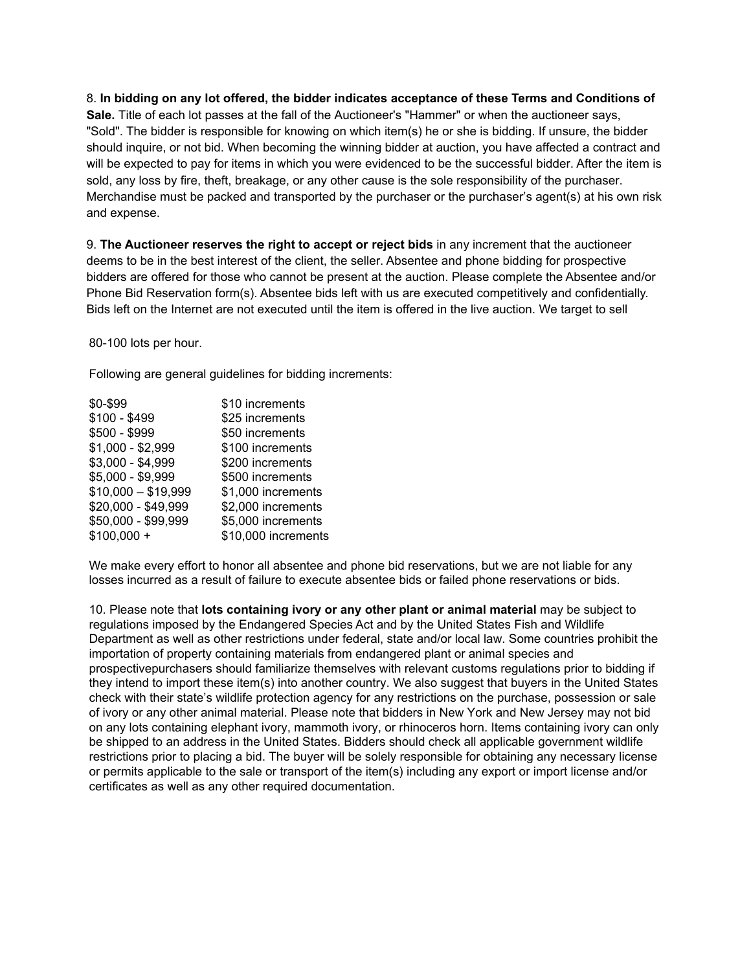8. **In bidding on any lot offered, the bidder indicates acceptance of these Terms and Conditions of**

**Sale.** Title of each lot passes at the fall of the Auctioneer's "Hammer" or when the auctioneer says, "Sold". The bidder is responsible for knowing on which item(s) he or she is bidding. If unsure, the bidder should inquire, or not bid. When becoming the winning bidder at auction, you have affected a contract and will be expected to pay for items in which you were evidenced to be the successful bidder. After the item is sold, any loss by fire, theft, breakage, or any other cause is the sole responsibility of the purchaser. Merchandise must be packed and transported by the purchaser or the purchaser's agent(s) at his own risk and expense.

9. **The Auctioneer reserves the right to accept or reject bids** in any increment that the auctioneer deems to be in the best interest of the client, the seller. Absentee and phone bidding for prospective bidders are offered for those who cannot be present at the auction. Please complete the Absentee and/or Phone Bid Reservation form(s). Absentee bids left with us are executed competitively and confidentially. Bids left on the Internet are not executed until the item is offered in the live auction. We target to sell

80-100 lots per hour.

Following are general guidelines for bidding increments:

| \$0-\$99            | \$10 increments     |
|---------------------|---------------------|
| $$100 - $499$       | \$25 increments     |
| \$500 - \$999       | \$50 increments     |
| $$1,000 - $2,999$   | \$100 increments    |
| \$3,000 - \$4,999   | \$200 increments    |
| \$5,000 - \$9,999   | \$500 increments    |
| $$10,000 - $19,999$ | \$1,000 increments  |
| \$20,000 - \$49,999 | \$2,000 increments  |
| \$50,000 - \$99,999 | \$5,000 increments  |
| $$100,000 +$        | \$10,000 increments |
|                     |                     |

We make every effort to honor all absentee and phone bid reservations, but we are not liable for any losses incurred as a result of failure to execute absentee bids or failed phone reservations or bids.

10. Please note that **lots containing ivory or any other plant or animal material** may be subject to regulations imposed by the Endangered Species Act and by the United States Fish and Wildlife Department as well as other restrictions under federal, state and/or local law. Some countries prohibit the importation of property containing materials from endangered plant or animal species and prospectivepurchasers should familiarize themselves with relevant customs regulations prior to bidding if they intend to import these item(s) into another country. We also suggest that buyers in the United States check with their state's wildlife protection agency for any restrictions on the purchase, possession or sale of ivory or any other animal material. Please note that bidders in New York and New Jersey may not bid on any lots containing elephant ivory, mammoth ivory, or rhinoceros horn. Items containing ivory can only be shipped to an address in the United States. Bidders should check all applicable government wildlife restrictions prior to placing a bid. The buyer will be solely responsible for obtaining any necessary license or permits applicable to the sale or transport of the item(s) including any export or import license and/or certificates as well as any other required documentation.